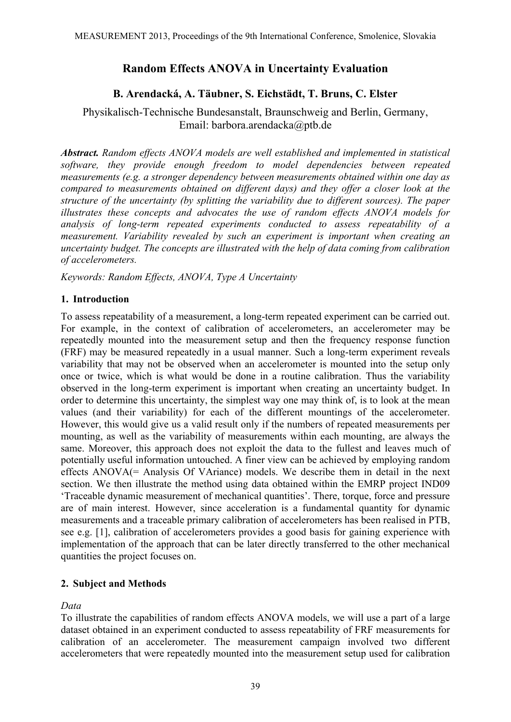# **Random Effects ANOVA in Uncertainty Evaluation**

# **B. Arendacká, A. Täubner, S. Eichstädt, T. Bruns, C. Elster**

Physikalisch-Technische Bundesanstalt, Braunschweig and Berlin, Germany, Email: barbora.arendacka@ptb.de

*Abstract. Random effects ANOVA models are well established and implemented in statistical software, they provide enough freedom to model dependencies between repeated measurements (e.g. a stronger dependency between measurements obtained within one day as compared to measurements obtained on different days) and they offer a closer look at the structure of the uncertainty (by splitting the variability due to different sources). The paper illustrates these concepts and advocates the use of random effects ANOVA models for analysis of long-term repeated experiments conducted to assess repeatability of a measurement. Variability revealed by such an experiment is important when creating an uncertainty budget. The concepts are illustrated with the help of data coming from calibration of accelerometers.* 

*Keywords: Random Effects, ANOVA, Type A Uncertainty* 

## **1. Introduction**

To assess repeatability of a measurement, a long-term repeated experiment can be carried out. For example, in the context of calibration of accelerometers, an accelerometer may be repeatedly mounted into the measurement setup and then the frequency response function (FRF) may be measured repeatedly in a usual manner. Such a long-term experiment reveals variability that may not be observed when an accelerometer is mounted into the setup only once or twice, which is what would be done in a routine calibration. Thus the variability observed in the long-term experiment is important when creating an uncertainty budget. In order to determine this uncertainty, the simplest way one may think of, is to look at the mean values (and their variability) for each of the different mountings of the accelerometer. However, this would give us a valid result only if the numbers of repeated measurements per mounting, as well as the variability of measurements within each mounting, are always the same. Moreover, this approach does not exploit the data to the fullest and leaves much of potentially useful information untouched. A finer view can be achieved by employing random effects ANOVA(= Analysis Of VAriance) models. We describe them in detail in the next section. We then illustrate the method using data obtained within the EMRP project IND09 'Traceable dynamic measurement of mechanical quantities'. There, torque, force and pressure are of main interest. However, since acceleration is a fundamental quantity for dynamic measurements and a traceable primary calibration of accelerometers has been realised in PTB, see e.g. [1], calibration of accelerometers provides a good basis for gaining experience with implementation of the approach that can be later directly transferred to the other mechanical quantities the project focuses on.

## **2. Subject and Methods**

*Data* 

To illustrate the capabilities of random effects ANOVA models, we will use a part of a large dataset obtained in an experiment conducted to assess repeatability of FRF measurements for calibration of an accelerometer. The measurement campaign involved two different accelerometers that were repeatedly mounted into the measurement setup used for calibration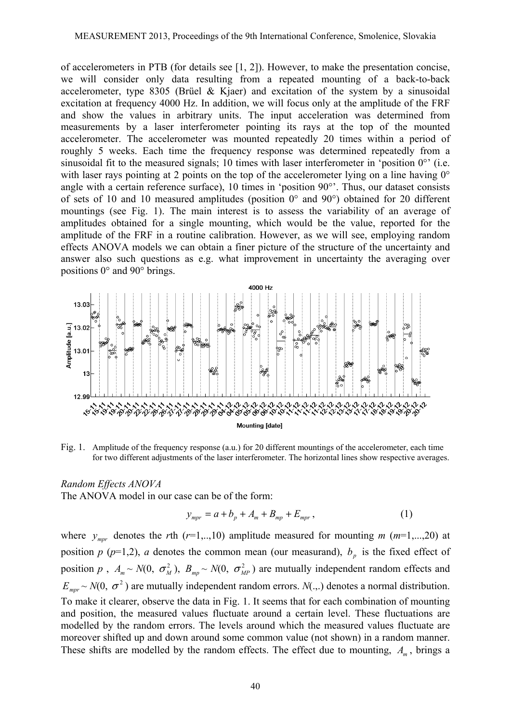of accelerometers in PTB (for details see [1, 2]). However, to make the presentation concise, we will consider only data resulting from a repeated mounting of a back-to-back accelerometer, type 8305 (Brüel & Kjaer) and excitation of the system by a sinusoidal excitation at frequency 4000 Hz. In addition, we will focus only at the amplitude of the FRF and show the values in arbitrary units. The input acceleration was determined from measurements by a laser interferometer pointing its rays at the top of the mounted accelerometer. The accelerometer was mounted repeatedly 20 times within a period of roughly 5 weeks. Each time the frequency response was determined repeatedly from a sinusoidal fit to the measured signals; 10 times with laser interferometer in 'position  $0^\circ$ ' (i.e. with laser rays pointing at 2 points on the top of the accelerometer lying on a line having 0° angle with a certain reference surface), 10 times in 'position 90°'. Thus, our dataset consists of sets of 10 and 10 measured amplitudes (position 0° and 90°) obtained for 20 different mountings (see Fig. 1). The main interest is to assess the variability of an average of amplitudes obtained for a single mounting, which would be the value, reported for the amplitude of the FRF in a routine calibration. However, as we will see, employing random effects ANOVA models we can obtain a finer picture of the structure of the uncertainty and answer also such questions as e.g. what improvement in uncertainty the averaging over positions 0° and 90° brings.



Fig. 1. Amplitude of the frequency response (a.u.) for 20 different mountings of the accelerometer, each time for two different adjustments of the laser interferometer. The horizontal lines show respective averages.

## *Random Effects ANOVA*

The ANOVA model in our case can be of the form:

$$
y_{\text{mpr}} = a + b_p + A_m + B_{\text{mp}} + E_{\text{mpr}}, \tag{1}
$$

where  $y_{\text{max}}$  denotes the *r*th ( $r=1,..,10$ ) amplitude measured for mounting  $m$  ( $m=1,...,20$ ) at position  $p$  ( $p=1,2$ ),  $a$  denotes the common mean (our measurand),  $b<sub>p</sub>$  is the fixed effect of position *p*,  $A_m \sim N(0, \sigma_M^2)$ ,  $B_{mp} \sim N(0, \sigma_{MP}^2)$  are mutually independent random effects and  $E_{\textit{mnr}} \sim N(0, \sigma^2)$  are mutually independent random errors.  $N(.,.)$  denotes a normal distribution. To make it clearer, observe the data in Fig. 1. It seems that for each combination of mounting and position, the measured values fluctuate around a certain level. These fluctuations are modelled by the random errors. The levels around which the measured values fluctuate are moreover shifted up and down around some common value (not shown) in a random manner. These shifts are modelled by the random effects. The effect due to mounting,  $A_m$ , brings a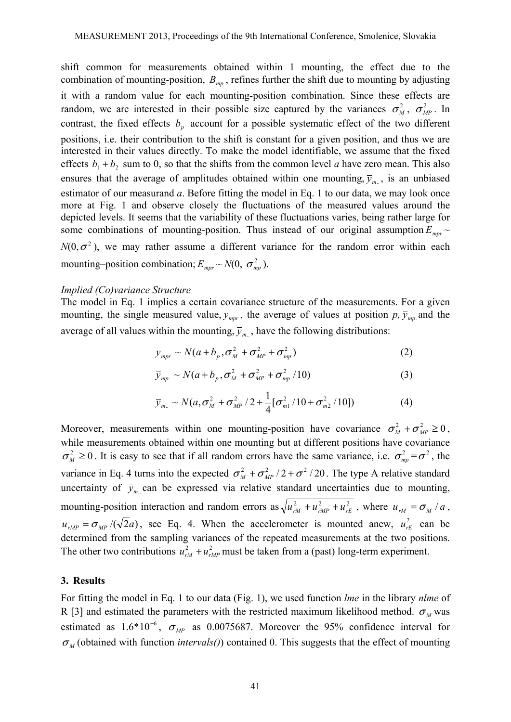shift common for measurements obtained within 1 mounting, the effect due to the combination of mounting-position,  $B_{mp}$ , refines further the shift due to mounting by adjusting it with a random value for each mounting-position combination. Since these effects are random, we are interested in their possible size captured by the variances  $\sigma_M^2$ ,  $\sigma_{MP}^2$ . In contrast, the fixed effects  $b<sub>p</sub>$  account for a possible systematic effect of the two different positions, i.e. their contribution to the shift is constant for a given position, and thus we are interested in their values directly. To make the model identifiable, we assume that the fixed effects  $b_1 + b_2$  sum to 0, so that the shifts from the common level *a* have zero mean. This also ensures that the average of amplitudes obtained within one mounting,  $\bar{y}_m$ , is an unbiased estimator of our measurand *a*. Before fitting the model in Eq. 1 to our data, we may look once more at Fig. 1 and observe closely the fluctuations of the measured values around the depicted levels. It seems that the variability of these fluctuations varies, being rather large for some combinations of mounting-position. Thus instead of our original assumption  $E_{\text{mpr}}$  ~  $N(0, \sigma^2)$ , we may rather assume a different variance for the random error within each mounting–position combination;  $E_{\text{max}} \sim N(0, \sigma_{\text{min}}^2)$ .

#### *Implied (Co)variance Structure*

The model in Eq. 1 implies a certain covariance structure of the measurements. For a given mounting, the single measured value,  $y_{\text{max}}$ , the average of values at position  $p$ ,  $\bar{y}_{\text{max}}$  and the average of all values within the mounting,  $\bar{y}_{m}$ , have the following distributions:

$$
y_{\text{mpr}} \sim N(a + b_p, \sigma_M^2 + \sigma_{\text{MP}}^2 + \sigma_{\text{mp}}^2)
$$
 (2)

$$
\overline{y}_{mp.} \sim N(a+b_p, \sigma_M^2 + \sigma_{MP}^2 + \sigma_{mp}^2/10)
$$
 (3)

$$
\bar{y}_{m.} \sim N(a, \sigma_M^2 + \sigma_{MP}^2 / 2 + \frac{1}{4} [\sigma_{m1}^2 / 10 + \sigma_{m2}^2 / 10])
$$
 (4)

Moreover, measurements within one mounting-position have covariance  $\sigma_M^2 + \sigma_{MP}^2 \ge 0$ , while measurements obtained within one mounting but at different positions have covariance  $\sigma_M^2 \ge 0$ . It is easy to see that if all random errors have the same variance, i.e.  $\sigma_{mp}^2 = \sigma^2$ , the variance in Eq. 4 turns into the expected  $\sigma_M^2 + \sigma_{MP}^2/2 + \sigma^2/20$ . The type A relative standard uncertainty of  $\bar{y}_m$  can be expressed via relative standard uncertainties due to mounting, mounting-position interaction and random errors as  $\sqrt{u_{rM}^2 + u_{rMP}^2 + u_{rE}^2}$ , where  $u_{rM} = \sigma_M / a$ ,  $u_{rMP} = \sigma_{MP}/(\sqrt{2}a)$ , see Eq. 4. When the accelerometer is mounted anew,  $u_{rE}^2$  can be determined from the sampling variances of the repeated measurements at the two positions. The other two contributions  $u_{rM}^2 + u_{rMP}^2$  must be taken from a (past) long-term experiment.

#### **3. Results**

For fitting the model in Eq. 1 to our data (Fig. 1), we used function *lme* in the library *nlme* of R [3] and estimated the parameters with the restricted maximum likelihood method.  $\sigma_M$  was estimated as  $1.6*10^{-6}$ ,  $\sigma_{MP}$  as 0.0075687. Moreover the 95% confidence interval for  $\sigma_M$  (obtained with function *intervals()*) contained 0. This suggests that the effect of mounting